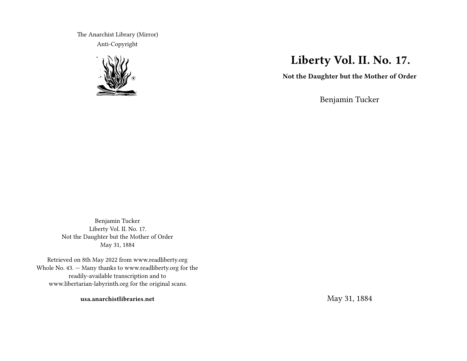The Anarchist Library (Mirror) Anti-Copyright



# **Liberty Vol. II. No. 17.**

**Not the Daughter but the Mother of Order**

Benjamin Tucker

Benjamin Tucker Liberty Vol. II. No. 17. Not the Daughter but the Mother of Order May 31, 1884

Retrieved on 8th May 2022 from www.readliberty.org Whole No. 43. — Many thanks to www.readliberty.org for the readily-available transcription and to www.libertarian-labyrinth.org for the original scans.

**usa.anarchistlibraries.net**

May 31, 1884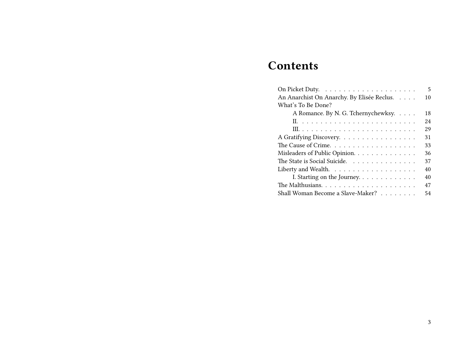# **Contents**

|                                                           | 5  |
|-----------------------------------------------------------|----|
| An Anarchist On Anarchy. By Elisée Reclus.                | 10 |
| What's To Be Done?                                        |    |
| A Romance. By N. G. Tchernychewksy.                       | 18 |
|                                                           | 24 |
|                                                           | 29 |
| A Gratifying Discovery.                                   | 31 |
| The Cause of Crime. $\ldots \ldots \ldots \ldots \ldots$  | 33 |
| Misleaders of Public Opinion.                             | 36 |
| The State is Social Suicide.                              | 37 |
| Liberty and Wealth. $\dots \dots \dots \dots \dots \dots$ | 40 |
| I. Starting on the Journey.                               | 40 |
|                                                           | 47 |
| Shall Woman Become a Slave-Maker?                         | 54 |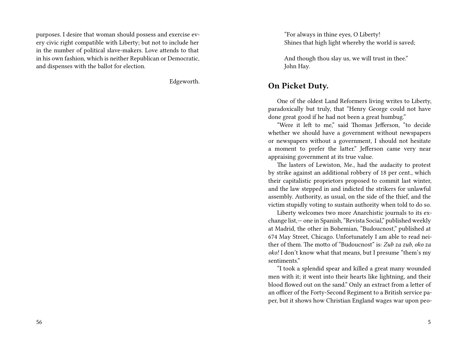purposes. I desire that woman should possess and exercise every civic right compatible with Liberty; but not to include her in the number of political slave-makers. Love attends to that in his own fashion, which is neither Republican or Democratic, and dispenses with the ballot for election.

Edgeworth.

"For always in thine eyes, O Liberty! Shines that high light whereby the world is saved;

And though thou slay us, we will trust in thee." John Hay.

## **On Picket Duty.**

One of the oldest Land Reformers living writes to Liberty, paradoxically but truly, that "Henry George could not have done great good if he had not been a great humbug."

"Were it left to me," said Thomas Jefferson, "to decide whether we should have a government without newspapers or newspapers without a government, I should not hesitate a moment to prefer the latter." Jefferson came very near appraising government at its true value.

The lasters of Lewiston, Me., had the audacity to protest by strike against an additional robbery of 18 per cent., which their capitalistic proprietors proposed to commit last winter, and the law stepped in and indicted the strikers for unlawful assembly. Authority, as usual, on the side of the thief, and the victim stupidly voting to sustain authority when told to do so.

Liberty welcomes two more Anarchistic journals to its exchange list,— one in Spanish, "Revista Social," published weekly at Madrid, the other in Bohemian, "Budoucnost," published at 674 May Street, Chicago. Unfortunately I am able to read neither of them. The motto of "Budoucnost" is: *Zub za zub, oko za oko!* I don't know what that means, but I presume "them's my sentiments."

"I took a splendid spear and killed a great many wounded men with it; it went into their hearts like lightning, and their blood flowed out on the sand." Only an extract from a letter of an officer of the Forty-Second Regiment to a British service paper, but it shows how Christian England wages war upon peo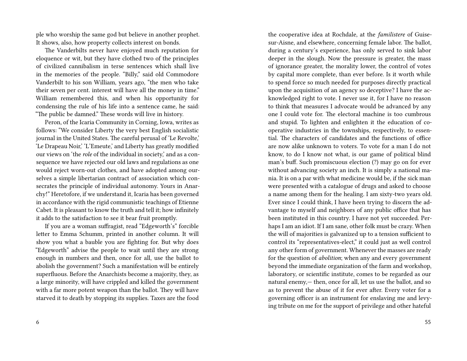ple who worship the same god but believe in another prophet. It shows, also, how property collects interest on bonds.

The Vanderbilts never have enjoyed much reputation for eloquence or wit, but they have clothed two of the principles of civilized cannibalism in terse sentences which shall live in the memories of the people. "Billy," said old Commodore Vanderbilt to his son William, years ago, "the men who take their seven per cent. interest will have all the money in time." William remembered this, and when his opportunity for condensing the rule of his life into a sentence came, he said: "The public be damned." These words will live in history.

Peron, of the Icaria Community in Corning, Iowa, writes as follows: "We consider Liberty the very best English socialistic journal in the United States. The careful perusal of 'Le Revolte,' 'Le Drapeau Noir,' 'L'Emeute,' and Liberty has greatly modified our views on 'the *role* of the individual in society,' and as a consequence we have rejected our old laws and regulations as one would reject worn-out clothes, and have adopted among ourselves a simple libertarian contract of association which consecrates the principle of individual autonomy. Yours in Anarchy!" Heretofore, if we understand it, Icaria has been governed in accordance with the rigid communistic teachings of Etienne Cabet. It is pleasant to know the truth and tell it; how infinitely it adds to the satisfaction to see it bear fruit promptly.

If you are a woman suffragist, read "Edgeworth's" forcible letter to Emma Schumm, printed in another column. It will show you what a bauble you are fighting for. But why does "Edgeworth" advise the people to wait until they are strong enough in numbers and then, once for all, use the ballot to abolish the government? Such a manifestation will be entirely superfluous. Before the Anarchists become a majority, they, as a large minority, will have crippled and killed the government with a far more potent weapon than the ballot. They will have starved it to death by stopping its supplies. Taxes are the food the cooperative idea at Rochdale, at the *familistere* of Guisesur-Aisne, and elsewhere, concerning female labor. The ballot, during a century's experience, has only served to sink labor deeper in the slough. Now the pressure is greater, the mass of ignorance greater, the morality lower, the control of votes by capital more complete, than ever before. Is it worth while to spend force so much needed for purposes directly practical upon the acquisition of an agency so deceptive? I have the acknowledged right to vote. I never use it, for I have no reason to think that measures I advocate would be advanced by any one I could vote for. The electoral machine is too cumbrous and stupid. To lighten and enlighten it the education of cooperative industries in the townships, respectively, to essential. The characters of candidates and the functions of office are now alike unknown to voters. To vote for a man I do not know, to do I know not what, is our game of political blind man's buff. Such promiscuous election (?) may go on for ever without advancing society an inch. It is simply a national mania. It is on a par with what medicine would be, if the sick man were presented with a catalogue of drugs and asked to choose a name among them for the healing. I am sixty-two years old. Ever since I could think, I have heen trying to discern the advantage to myself and neighbors of any public office that has been instituted in this country. I have not yet succeeded. Perhaps I am an idiot. If I am sane, other folk must be crazy. When the will of majorities is galvanized up to a tension sufficient to control its "representatives-elect," it could just as well control any other form of government. Whenever the masses are ready for the question of *abolition*; when any and every government beyond the immediate organization of the farm and workshop, laboratory, or scientific institute, comes to be regarded as our natural enemy,— then, once for all, let us use the ballot, and so as to prevent the abuse of it for ever after. Every voter for a governing officer is an instrument for enslaving me and levying tribute on me for the support of privilege and other hateful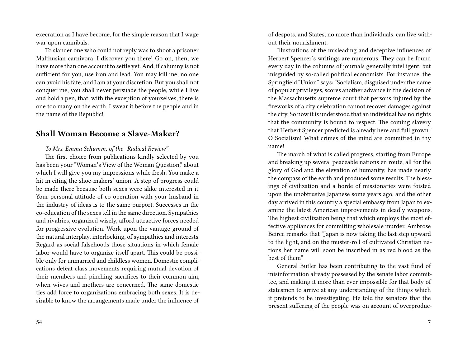execration as I have become, for the simple reason that I wage war upon cannibals.

To slander one who could not reply was to shoot a prisoner. Malthusian carnivora, I discover you there! Go on, then; we have more than one account to settle yet. And, if calumny is not sufficient for you, use iron and lead. You may kill me; no one can avoid his fate, and I am at your discretion. But you shall not conquer me; you shall never persuade the people, while I live and hold a pen, that, with the exception of yourselves, there is one too many on the earth. I swear it before the people and in the name of the Republic!

## **Shall Woman Become a Slave-Maker?**

*To Mrs. Emma Schumm, of the "Radical Review":*

The first choice from publications kindly selected by you has been your "Woman's View of the Woman Question," about which I will give you my impressions while fresh. You make a hit in citing the shoe-makers' union. A step of progress could be made there because both sexes were alike interested in it. Your personal attitude of co-operation with your husband in the industry of ideas is to the same purport. Successes in the co-education of the sexes tell in the same direction. Sympathies and rivalries, organized wisely, afford attractive forces needed for progressive evolution. Work upon the vantage ground of the natural interplay, interlocking, of sympathies and interests. Regard as social falsehoods those situations in which female labor would have to organize itself apart. This could be possible only for unmarried and childless women. Domestic complications defeat class movements requiring mutual devotion of their members and pinching sacrifices to their common aim, when wives and mothers are concerned. The same domestic ties add force to organizations embracing both sexes. It is desirable to know the arrangements made under the influence of

of despots, and States, no more than individuals, can live without their nourishment.

Illustrations of the misleading and deceptive influences of Herbert Spencer's writings are numerous. They can be found every day in the columns of journals generally intelligent, but misguided by so-called political economists. For instance, the Springfield "Union" says: "Socialism, disguised under the name of popular privileges, scores another advance in the decision of the Massachusetts supreme court that persons injured by the fireworks of a city celebration cannot recover damages against the city. So now it is understood that an individual has no rights that the community is bound to respect. The coming slavery that Herbert Spencer predicted is already here and full grown." O Socialism! What crimes of the mind are committed in thy name!

The march of what is called progress, starting from Europe and breaking up several peaceable nations en route, all for the glory of God and the elevation of humanity, has made nearly the compass of the earth and produced some results. The blessings of civilization and a horde of missionaries were foisted upon the unobtrusive Japanese some years ago, and the other day arrived in this country a special embassy from Japan to examine the latest American improvements in deadly weapons. The highest civilization being that which employs the most effective appliances for committing wholesale murder, Ambrose Beirce remarks that "Japan is now taking the last step upward to the light, and on the muster-roll of cultivated Christian nations her name will soon be inscribed in as red blood as the best of them"

General Butler has been contributing to the vast fund of misinformation already possessed by the senate labor committee, and making it more than ever impossible for that body of statesmen to arrive at any understanding of the things which it pretends to be investigating. He told the senators that the present suffering of the people was on account of overproduc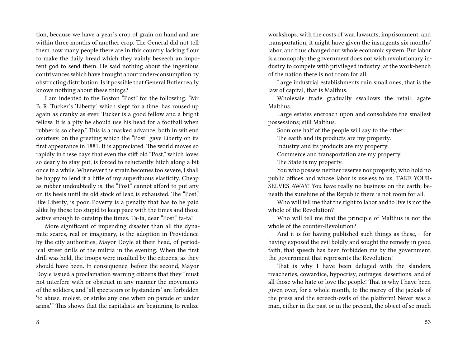tion, because we have a year's crop of grain on hand and are within three months of another crop. The General did not tell them how many people there are in this country lacking flour to make the daily bread which they vainly beseech an impotent god to send them. He said nothing about the ingenious contrivances which have brought about under-consumption by obstructing distribution. Is it possible that General Butler really knows nothing about these things?

I am indebted to the Boston "Post" for the following: "Mr. B. R. Tucker's 'Liberty,' which slept for a time, has roused up again as cranky as ever. Tucker is a good fellow and a bright fellow. It is a pity he should use his head for a football when rubber is so cheap." This is a marked advance, both in wit end courtesy, on the greeting which the "Post" gave Liberty on its first appearance in 1881. It is appreciated. The world moves so rapidly in these days that even the stiff old "Post," which loves so dearly to stay put, is forced to reluctantly hitch along a bit once in a while. Whenever the strain becomes too severe, I shall be happy to lend it a little of my superfluous elasticity. Cheap as rubber undoubtedly is, the "Post" cannot afford to put any on its heels until its old stock of lead is exhausted. The "Post," like Liberty, is poor. Poverty is a penalty that has to be paid alike by those too stupid to keep pace with the times and those active enough to outstrip the times. Ta-ta, dear "Post," ta-ta!

More significant of impending disaster than all the dynamite scares, real or imaginary, is the adoption in Providence by the city authorities, Mayor Doyle at their head, of periodical street drills of the militia in the evening. When the first drill was held, the troops were insulted by the citizens, as they should have been. In consequence, before the second, Mayor Doyle issued a proclamation warning citizens that they "must not interfere with or obstruct in any manner the movements of the soldiers, and 'all spectators or bystanders' are forbidden 'to abuse, molest, or strike any one when on parade or under arms.'" This shows that the capitalists are beginning to realize

workshops, with the costs of war, lawsuits, imprisonment, and transportation, it might have given the insurgents six months' labor, and thus changed our whole economic system. But labor is a monopoly; the government does not wish revolutionary industry to compete with privileged industry; at the work-bench of the nation there is not room for all.

Large industrial establishments ruin small ones; that is the law of capital, that is Malthus.

Wholesale trade gradually swallows the retail; agate Malthus.

Large estates encroach upon and consolidate the smallest possessions; still Malthus.

Soon one half of the people will say to the other:

The earth and its products are my property.

Industry and its products are my property.

Commerce and transportation are my property.

The State is my property.

You who possess neither reserve nor property, who hold no public offices and whose labor is useless to us, TAKE YOUR-SELVES AWAY! You have really no business on the earth: beneath the sunshine of the Republic there is not room for all.

Who will tell me that the right to labor and to live is not the whole of the Revolution?

Who will tell me that the principle of Malthus is not the whole of the counter-Revolution?

And it is for having published such things as these,— for having exposed the evil boldly and sought the remedy in good faith, that speech has been forbidden me by the government, the government that represents the Revolution!

That is why I have been deluged with the slanders, treacheries, cowardice, hypocrisy, outrages, desertions, and of all those who hate or love the people! That is why I have been given over, for a whole month, to the mercy of the jackals of the press and the screech-owls of the platform! Never was a man, either in the past or in the present, the object of so much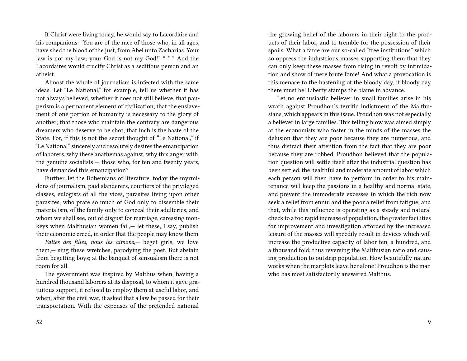If Christ were living today, he would say to Lacordaire and his companions: "You are of the race of those who, in all ages, have shed the blood of the just, from Abel unto Zacharias. Your law is not my law; your God is not my God!" \* \* \* And the Lacordaires wonld crucify Christ as a seditious person and an atheist.

Almost the whole of journalism is infected with the same ideas. Let "Le National," for example, tell us whether it has not always believed, whether it does not still believe, that pauperism is a permanent element of civilization; that the enslavement of one portion of humanity is necessary to the glory of another; that those who maintain the contrary are dangerous dreamers who deserve to be shot; that inch is the baste of the State. For, if this is not the secret thought of "Le National," if "Le National" sincerely and resolutely desires the emancipation of laborers, why these anathemas against, why this anger with, the genuine socialists — those who, for ten and twenty years, have demanded this emancipation?

Further, let the Bohemians of literature, today the myrmidons of journalism, paid slanderers, courtiers of the privileged classes, eulogists of all the vices, parasites living upon other parasites, who prate so much of God only to dissemble their materialism, of the family only to conceal their adulteries, and whom we shall see, out of disgust for marriage, caressing monkeys when Malthusian women fail,— let these, I say, publish their economic creed, in order that the people may know them.

*Faites des filles, nous les aimons,*— beget girls, we love them,— sing these wretches, parodying the poet. But abstain from begetting boys; at the banquet of sensualism there is not room for all.

The government was inspired by Malthus when, having a hundred thousand laborers at its disposal, to whom it gave gratuitous support, it refused to employ them at useful labor, and when, after the civil war, it asked that a law be passed for their transportation. With the expenses of the pretended national

the growing belief of the laborers in their right to the products of their labor, and to tremble for the possession of their spoils. What a farce are our so-called "free institutions" which so oppress the industrious masses supporting them that they can only keep these masses from rising in revolt by intimidation and show of mere brute force! And what a provocation is this menace to the hastening of the bloody day, if bloody day there must be! Liberty stamps the blame in advance.

Let no enthusiastic believer in small families arise in his wrath against Proudhon's terrific indictment of the Malthusians, which appears in this issue. Proudhon was not especially a believer in large families. This telling blow was aimed simply at the economists who foster in the minds of the masses the delusion that they are poor because they are numerous, and thus distract their attention from the fact that they are poor because they are robbed. Proudhon believed that the population question will settle itself after the industrial question has been settled; the healthful and moderate amount of labor which each person will then have to perform in order to his maintenance will keep the passions in a healthy and normal state, and prevent the immoderate excesses in which the rich now seek a relief from ennui and the poor a relief from fatigue; and that, while this influence is operating as a steady and natural check to a too rapid increase of population, the greater facilities for improvement and investigation afforded by the increased leisure of the masses will speedily result in devices which will increase the productive capacity of labor ten, a hundred, and a thousand fold; thus reversing the Malthusian ratio and causing production to outstrip population. How beautifully nature works when the marplots leave her alone! Proudhon is the man who has most satisfactorily answered Malthus.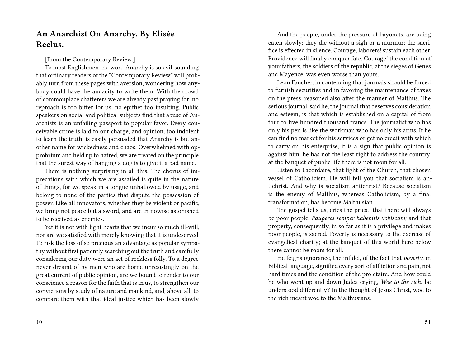# **An Anarchist On Anarchy. By Elisée Reclus.**

[From the Contemporary Review.]

To most Englishmen the word Anarchy is so evil-sounding that ordinary readers of the "Contemporary Review" will probably turn from these pages with aversion, wondering how anybody could have the audacity to write them. With the crowd of commonplace chatterers we are already past praying for; no reproach is too bitter for us, no epithet too insulting. Public speakers on social and political subjects find that abuse of Anarchists is an unfailing passport to popular favor. Every conceivable crime is laid to our charge, and opinion, too indolent to learn the truth, is easily persuaded that Anarchy is but another name for wickedness and chaos. Overwhelmed with opprobrium and held up to hatred, we are treated on the principle that the surest way of hanging a dog is to give it a bad name.

There is nothing surprising in all this. The chorus of imprecations with which we are assailed is quite in the nature of things, for we speak in a tongue unhallowed by usage, and belong to none of the parties that dispute the possession of power. Like all innovators, whether they be violent or pacific, we bring not peace but a sword, and are in nowise astonished to be received as enemies.

Yet it is not with light hearts that we incur so much ill-will, nor are we satisfied with merely knowing that it is undeserved. To risk the loss of so precious an advantage as popular sympathy without first patiently searching out the truth and carefully considering our duty were an act of reckless folly. To a degree never dreamt of by men who are borne unresistingly on the great current of public opinion, are we bound to render to our conscience a reason for the faith that is in us, to strengthen our convictions by study of nature and mankind, and, above all, to compare them with that ideal justice which has been slowly

And the people, under the pressure of bayonets, are being eaten slowly; they die without a sigh or a murmur; the sacrifice is effected in silence. Courage, laborers! sustain each other: Providence will finally conquer fate. Courage! the condition of your fathers, the soldiers of the republic, at the sieges of Genes and Mayence, was even worse than yours.

Leon Faucher, in contending that journals should be forced to furnish securities and in favoring the maintenance of taxes on the press, reasoned also after the manner of Malthus. The serious journal, said he, the journal that deserves consideration and esteem, is that which is established on a capital of from four to five hundred thousand francs. The journalist who has only his pen is like the workman who has only his arms. If he can find no market for his services or get no credit with which to carry on his enterprise, it is a sign that public opinion is against him; he has not the least right to address the country: at the banquet of public life there is not room for all.

Listen to Lacordaire, that light of the Church, that chosen vessel of Catholicism. He will tell you that socialism is antichrist. And why is socialism antichrist? Because socialism is the enemy of Malthus, whereas Catholicism, by a final transformation, has become Malthusian.

The gospel tells us, cries the priest, that there will always be poor people, *Pauperes semper habebitis vobiscum;* and that property, consequently, in so far as it is a privilege and makes poor people, is sacred. Poverty is necessary to the exercise of evangelical charity; at the banquet of this world here below there cannot be room for all.

He feigns ignorance, the infidel, of the fact that *poverty*, in Biblical language, signified every sort of affliction and pain, not hard times and the condition of the proletaire. And how could he who went up and down Judea crying, *Woe to the rich!* be understood differently? In the thought of Jesus Christ, woe to the rich meant woe to the Malthusians.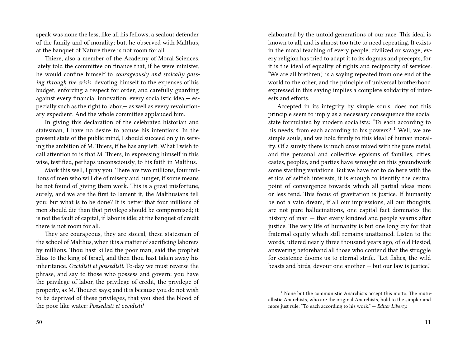speak was none the less, like all his fellows, a sealout defender of the family and of morality; but, he observed with Malthus, at the banquet of Nature there is not room for all.

Thiere, also a member of the Academy of Moral Sciences, lately told the committee on finance that, if he were minister, he would confine himself to *courageously and stoically passing through the crisis,* devoting himself to the expenses of his budget, enforcing a respect for order, and carefully guarding against every financial innovation, every socialistic idea,— especially such as the right to labor,— as well as every revolutionary expedient. And the whole committee applauded him.

In giving this declaration of the celebrated historian and statesman, I have no desire to accuse his intentions. In the present state of the public mind, I should succeed only in serving the ambition of M. Thiers, if he has any left. What I wish to call attention to is that M. Thiers, in expressing himself in this wise, testified, perhaps unconsciously, to his faith in Malthus.

Mark this well, I pray you. There are two millions, four millions of men who will die of misery and hunger, if some means be not found of giving them work. This is a great misfortune, surely, and we are the first to lament it, the Malthusians tell you; but what is to be done? It is better that four millions of men should die than that privilege should be compromised; it is not the fault of capital, if labor is idle; at the banquet of credit there is not room for all.

They are courageous, they are stoical, these statesmen of the school of Malthus, when it is a matter of sacrificing laborers by millions. Thou hast killed the poor man, said the prophet Elias to the king of Israel, and then thou hast taken away his inheritance. *Occidisti et possedisti.* To-day we must reverse the phrase, and say to those who possess and govern: you have the privilege of labor, the privilege of credit, the privilege of property, as M. Thouret says; and it is because you do not wish to be deprived of these privileges, that you shed the blood of the poor like water: *Possedisti et occidisti!*

elaborated by the untold generations of our race. This ideal is known to all, and is almost too trite to need repeating. It exists in the moral teaching of every people, civilized or savage; every religion has tried to adapt it to its dogmas and precepts, for it is the ideal of equality of rights and reciprocity of services. "We are all brethren," is a saying repeated from one end of the world to the other, and the principle of universal brotherhood expressed in this saying implies a complete solidarity of interests and efforts.

Accepted in its integrity by simple souls, does not this principle seem to imply as a necessary consequence the social state formulated by modern socialists: "To each according to his needs, from each according to his powers?"<sup>1</sup> Well, we are simple souls, and we hold firmly to this ideal of human morality. Of a surety there is much dross mixed with the pure metal, and the personal and collective egoisms of families, cities, castes, peoples, and parties have wrought on this groundwork some startling variations. But we have not to do here with the ethics of selfish interests, it is enough to identify the central point of convergence towards which all partial ideas more or less tend. This focus of gravitation is justice. If humanity be not a vain dream, if all our impressions, all our thoughts, are not pure hallucinations, one capital fact dominates the history of man — that every kindred and people yearns after justice. The very life of humanity is but one long cry for that fraternal equity which still remains unattained. Listen to the words, uttered nearly three thousand years ago, of old Hesiod, answering beforehand all those who contend that the struggle for existence dooms us to eternal strife. "Let fishes, the wild beasts and birds, devour one another — but our law is justice."

 $<sup>1</sup>$  None but the communistic Anarchists accept this motto. The mutu-</sup> allistic Anarchists, who are the original Anarchists, hold to the simpler and more just rule: "To each according to his work." — *Editor Liberty.*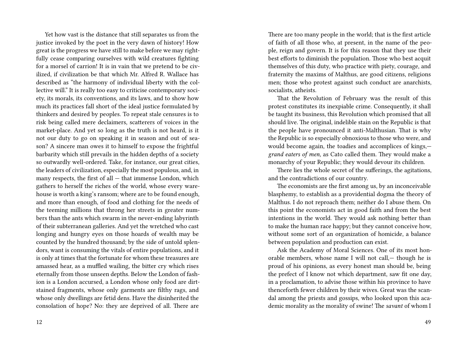Yet how vast is the distance that still separates us from the justice invoked by the poet in the very dawn of history! How great is the progress we have still to make before we may rightfully cease comparing ourselves with wild creatures fighting for a morsel of carrion! It is in vain that we pretend to be civilized, if civilization be that which Mr. Alfred R. Wallace has described as "the harmony of individual liberty with the collective will." It is really too easy to criticise contemporary society, its morals, its conventions, and its laws, and to show how much its practices fall short of the ideal justice formulated by thinkers and desired by peoples. To repeat stale censures is to risk being called mere declaimers, scatterers of voices in the market-place. And yet so long as the truth is not heard, is it not our duty to go on speaking it in season and out of season? A sincere man owes it to himself to expose the frightful barbarity which still prevails in the hidden depths of a society so outwardly well-ordered. Take, for instance, our great cities, the leaders of civilization, especially the most populous, and, in many respects, the first of all — that immense London, which gathers to herself the riches of the world, whose every warehouse is worth a king's ransom; where are to be found enough, and more than enough, of food and clothing for the needs of the teeming millions that throng her streets in greater numbers than the ants which swarm in the never-ending labyrinth of their subterranean galleries. And yet the wretched who cast longing and hungry eyes on those hoards of wealth may be counted by the hundred thousand; by the side of untold splendors, want is consuming the vitals of entire populations, and it is only at times that the fortunate for whom these treasures are amassed hear, as a muffled wailing, the bitter cry which rises eternally from those unseen depths. Below the London of fashion is a London accursed, a London whose only food are dirtstained fragments, whose only garments are filthy rags, and whose only dwellings are fetid dens. Have the disinherited the consolation of hope? No: they are deprived of all. There are

There are too many people in the world; that is the first article of faith of all those who, at present, in the name of the people, reign and govern. It is for this reason that they use their best efforts to diminish the population. Those who best acquit themselves of this duty, who practice with piety, courage, and fraternity the maxims of Malthus, are good citizens, religions men; those who protest against such conduct are anarchists, socialists, atheists.

That the Revolution of February was the result of this protest constitutes its inexpiable crime. Consequently, it shall be taught its business, this Revolution which promised that all should live. The original, indelible stain on the Republic is that the people have pronounced it anti-Malthusian. That is why the Republic is so especially obnoxious to those who were, and would become again, the toadies and accomplices of kings, *grand eaters of men,* as Cato called them. They would make a monarchy of your Republic; they would devour its children.

There lies the whole secret of the sufferings, the agitations, and the contradictions of our country.

The economists are the first among us, by an inconceivable blasphemy, to establish as a providential dogma the theory of Malthus. I do not reproach them; neither do I abuse them. On this point the economists act in good faith and from the best intentions in the world. They would ask nothing better than to make the human race happy; but they cannot conceive how, without some sort of an organization of homicide, a balance between population and production can exist.

Ask the Academy of Moral Sciences. One of its most honorable members, whose name I will not call,— though he is proud of his opinions, as every honest man should be, being the prefect of I know not which department, saw fit one day, in a proclamation, to advise those within his province to have thenceforth fewer children by their wives. Great was the scandal among the priests and gossips, who looked upon this academic morality as the morality of swine! The *savant* of whom I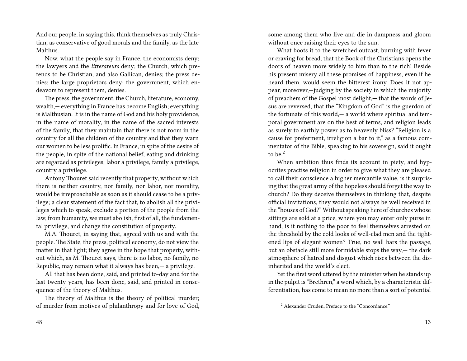And our people, in saying this, think themselves as truly Christian, as conservative of good morals and the family, as the late Malthus.

Now, what the people say in France, the economists deny; the lawyers and the *litterateurs* deny; the Church, which pretends to be Christian, and also Gallican, denies; the press denies; the large proprietors deny; the government, which endeavors to represent them, denies.

The press, the government, the Church, literature, economy, wealth,— everything in France has become English; everything is Malthusian. It is in the name of God and his holy providence, in the name of morality, in the name of the sacred interests of the family, that they maintain that there is not room in the country for all the children of the country and that they warn our women to be less prolific. In France, in spite of the desire of the people, in spite of the national belief, eating and drinking are regarded as privileges, labor a privilege, family a privilege, country a privilege.

Antony Thouret said recently that property, without which there is neither country, nor family, nor labor, nor morality, would be irreproachable as soon as it should cease to be a privilege; a clear statement of the fact that, to abolish all the privileges which to speak, exclude a portion of the people from the law, from humanity, we must abolish, first of all, the fundamental privilege, and change the constitution of property.

M.A. Thouret, in saying that, agreed with us and with the people. The State, the press, political economy, do not view the matter in that light; they agree in the hope that property, without which, as M. Thouret says, there is no labor, no family, no Republic, may remain what it always has been,— a privilege.

All that has been done, said, and printed to-day and for the last twenty years, has been done, said, and printed in consequence of the theory of Malthus.

The theory of Malthus is the theory of political murder; of murder from motives of philanthropy and for love of God, some among them who live and die in dampness and gloom without once raising their eyes to the sun.

What boots it to the wretched outcast, burning with fever or craving for bread, that the Book of the Christians opens the doors of heaven more widely to him than to the rich! Beside his present misery all these promises of happiness, even if he heard them, would seem the bitterest irony. Does it not appear, moreover,—judging by the society in which the majority of preachers of the Gospel most delight,— that the words of Jesus are reversed, that the "Kingdom of God" is the guerdon of the fortunate of this world,— a world where spiritual and temporal government are on the best of terms, and religion leads as surely to earthly power as to heavenly bliss? "Religion is a cause for preferment, irreligion a bar to it," as a famous commentator of the Bible, speaking to his sovereign, said it ought to be.<sup>2</sup>

When ambition thus finds its account in piety, and hypocrites practise religion in order to give what they are pleased to call their conscience a higher mercantile value, is it surprising that the great army of the hopeless should forget the way to church? Do they deceive themselves in thinking that, despite official invitations, they would not always be well received in the "houses of God?" Without speaking here of churches whose sittings are sold at a price, where you may enter only purse in hand, is it nothing to the poor to feel themselves arrested on the threshold by the cold looks of well-clad men and the tightened lips of elegant women? True, no wall bars the passage, but an obstacle still more formidable stops the way,— the dark atmosphere of hatred and disgust which rises between the disinherited and the world's elect.

Yet the first word uttered by the minister when he stands up in the pulpit is "Brethren," a word which, by a characteristic differentiation, has come to mean no more than a sort of potential

<sup>&</sup>lt;sup>2</sup> Alexander Cruden, Preface to the "Concordance."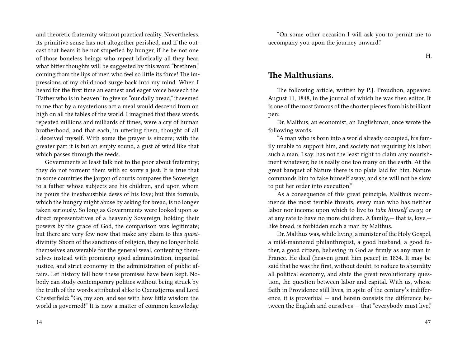and theoretic fraternity without practical reality. Nevertheless, its primitive sense has not altogether perished, and if the outcast that hears it be not stupefied by hunger, if he be not one of those boneless beings who repeat idiotically all they hear, what bitter thoughts will be suggested by this word "brethren," coming from the lips of men who feel so little its force! The impressions of my childhood surge back into my mind. When I heard for the first time an earnest and eager voice beseech the "Father who is in heaven" to give us "our daily bread," it seemed to me that by a mysterious act a meal would descend from on high on all the tables of the world. I imagined that these words, repeated millions and milliards of times, were a cry of human brotherhood, and that each, in uttering them, thought of all. I deceived myself. With some the prayer is sincere; with the greater part it is but an empty sound, a gust of wind like that which passes through the reeds.

Governments at least talk not to the poor about fraternity; they do not torment them with so sorry a jest. It is true that in some countries the jargon of courts compares the Sovereign to a father whose subjects are his children, and upon whom he pours the inexhaustible dews of his love; but this formula, which the hungry might abuse by asking for bread, is no longer taken seriously. So long as Governments were looked upon as direct representatives of a heavenly Sovereign, holding their powers by the grace of God, the comparison was legitimate; but there are very few now that make any claim to this *quosi*divinity. Shorn of the sanctions of religion, they no longer hold themselves answerable for the general weal, contenting themselves instead with promising good administration, impartial justice, and strict economy in the administration of public affairs. Let history tell how these promises have been kept. Nobody can study contemporary politics without being struck by the truth of the words attributed alike to Oxenstjerna and Lord Chesterfield: "Go, my son, and see with how little wisdom the world is governed!" It is now a matter of common knowledge

"On some other occasion I will ask you to permit me to accompany you upon the journey onward."

H.

## **The Malthusians.**

The following article, written by P.J. Proudhon, appeared August 11, 1848, in the journal of which he was then editor. It is one of the most famous of the shorter pieces from his brilliant pen:

Dr. Malthus, an economist, an Englishman, once wrote the following words:

"A man who is born into a world already occupied, his family unable to support him, and society not requiring his labor, such a man, I say, has not the least right to claim any nourishment whatever; he is really one too many on the earth. At the great banquet of Nature there is no plate laid for him. Nature commands him to take himself away, and she will not be slow to put her order into execution."

As a consequence of this great principle, Malthus recommends the most terrible threats, every man who has neither labor nor income upon which to live to *take himself away,* or at any rate to have no more children. A family,— that is, love, like bread, is forbidden such a man by Malthus.

Dr. Malthus was, while living, a minister of the Holy Gospel, a mild-mannered philanthropist, a good husband, a good father, a good citizen, believing in God as firmly as any man in France. He died (heaven grant him peace) in 1834. It may be said that he was the first, without doubt, to reduce to absurdity all political economy, and state the great revolutionary question, the question between labor and capital. With us, whose faith in Providence still lives, in spite of the century's indifference, it is proverbial — and herein consists the difference between the English and ourselves — that "everybody must live."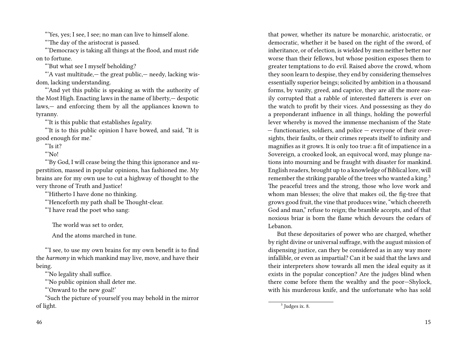"'Yes, yes; I see, I see; no man can live to himself alone.

"'The day of the aristocrat is passed.

"'Democracy is taking all things at the flood, and must ride on to fortune.

"'But what see I myself beholding?

"'A vast multitude,— the great public,— needy, lacking wisdom, lacking understanding.

"'And yet this public is speaking as with the authority of the Most High. Enacting laws in the name of liberty,— despotic laws,— and enforcing them by all the appliances known to tyranny.

"'It is this public that establishes *legality*.

"'It is to this public opinion I have bowed, and said, "It is good enough for me."

"'Is it?

"'No!

"'By God, I will cease being the thing this ignorance and superstition, massed in popular opinions, has fashioned me. My brains are for my own use to cut a highway of thought to the very throne of Truth and Justice!

"'Hitherto I have done no thinking.

"'Henceforth my path shall be Thought-clear.

"'I have read the poet who sang:

The world was set to order,

And the atoms marched in tune.

"'I see, to use my own brains for my own benefit is to find the *harmony* in which mankind may live, move, and have their being.

"'No legality shall suffice.

"'No public opinion shall deter me.

"'Onward to the new goal!'

"Such the picture of yourself you may behold in the mirror of light.

that power, whether its nature be monarchic, aristocratic, or democratic, whether it be based on the right of the sword, of inheritance, or of election, is wielded by men neither better nor worse than their fellows, but whose position exposes them to greater temptations to do evil. Raised above the crowd, whom they soon learn to despise, they end by considering themselves essentially superior beings; solicited by ambition in a thousand forms, by vanity, greed, and caprice, they are all the more easily corrupted that a rabble of interested flatterers is ever on the watch to profit by their vices. And possessing as they do a preponderant influence in all things, holding the powerful lever whereby is moved the immense mechanism of the State — functionaries, soldiers, and police — everyone of their oversights, their faults, or their crimes repeats itself to infinity and magnifies as it grows. It is only too true: a fit of impatience in a Sovereign, a crooked look, an equivocal word, may plunge nations into mourning and be fraught with disaster for mankind. English readers, brought up to a knowledge of Biblical lore, will remember the striking parable of the trees who wanted a king.<sup>3</sup> The peaceful trees and the strong, those who love work and whom man blesses; the olive that makes oil, the fig-tree that grows good fruit, the vine that produces wine, "which cheereth God and man," refuse to reign; the bramble accepts, and of that noxious briar is born the flame which devours the cedars of Lebanon.

But these depositaries of power who are charged, whether by right divine or universal suffrage, with the august mission of dispensing justice, can they be considered as in any way more infallible, or even as impartial? Can it be said that the laws and their interpreters show towards all men the ideal equity as it exists in the popular conception? Are the judges blind when there come before them the wealthy and the poor—Shylock, with his murderous knife, and the unfortunate who has sold

 $3$  Judges ix. 8.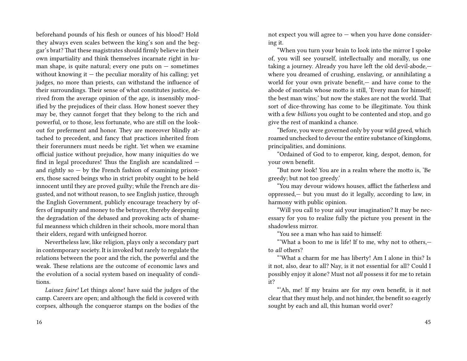beforehand pounds of his flesh or ounces of his blood? Hold they always even scales between the king's son and the beggar's brat? That these magistrates should firmly believe in their own impartiality and think themselves incarnate right in human shape, is quite natural; every one puts on  $-$  sometimes without knowing it  $-$  the peculiar morality of his calling; yet judges, no more than priests, can withstand the influence of their surroundings. Their sense of what constitutes justice, derived from the average opinion of the age, is insensibly modified by the prejudices of their class. How honest soever they may be, they cannot forget that they belong to the rich and powerful, or to those, less fortunate, who are still on the lookout for preferment and honor. They are moreover blindly attached to precedent, and fancy that practices inherited from their forerunners must needs be right. Yet when we examine official justice without prejudice, how many iniquities do we find in legal procedures! Thus the English are scandalized and rightly so  $-$  by the French fashion of examining prisoners, those sacred beings who in strict probity ought to be held innocent until they are proved guilty; while the French are disgusted, and not without reason, to see English justice, through the English Government, publicly encourage treachery by offers of impunity and money to the betrayer, thereby deepening the degradation of the debased and provoking acts of shameful meanness which children in their schools, more moral than their elders, regard with unfeigned horror.

Nevertheless law, like religion, plays only a secondary part in contemporary society. It is invoked but rarely to regulate the relations between the poor and the rich, the powerful and the weak. These relations are the outcome of economic laws and the evolution of a social system based on inequality of conditions.

*Laissez faire!* Let things alone! have said the judges of the camp. Careers are open; and although the field is covered with corpses, although the conqueror stamps on the bodies of the not expect you will agree to — when you have done considering it.

"When you turn your brain to look into the mirror I spoke of, you will see yourself, intellectually and morally, us one taking a journey. Already you have left the old devil-abode, where you dreamed of crushing, enslaving, or annihilating a world for your own private benefit,— and have come to the abode of mortals whose motto is still, 'Every man for himself; the best man wins;' but now the stakes are not the world. That sort of dice-throwing has come to be illegitimate. You think with a few *billions* you ought to be contented and stop, and go give the rest of mankind a chance.

"Before, you were governed only by your wild greed, which roamed unchecked to devour the entire substance of kingdoms, principalities, and dominions.

"Ordained of God to to emperor, king, despot, demon, for your own benefit.

"But now look! You are in a realm where the motto is, 'Be greedy; but not too greedy.'

"You may devour widows houses, afflict the fatherless and oppressed,— but you must do it legally, according to law, in harmony with public opinion.

"Will you call to your aid your imagination? It may be necessary for you to realize fully the picture you present in the shadowless mirror.

"You see a man who has said to himself:

"'What a boon to me is life! If to me, why not to others, to *all* others?

"'What a charm for me has liberty! Am I alone in this? Is it not, also, dear to all? Nay, is it not essential for all? Could I possibly enjoy it alone? Must not *all* possess it for me to retain it?

"'Ah, me! If my brains are for my own benefit, is it not clear that they must help, and not hinder, the benefit so eagerly sought by each and all, this human world over?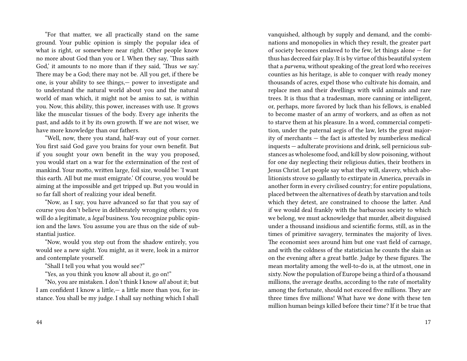"For that matter, we all practically stand on the same ground. Your public opinion is simply the popular idea of what is right, or somewhere near right. Other people know no more about God than you or I. When they say, 'Thus saith God,' it amounts to no more than if they said, 'Thus *we* say.' There may be a God; there may not be. All you get, if there be one, is your ability to see things,— power to investigate and to understand the natural world about you and the natural world of man which, it might not be amiss to sat, is within you. Now, this ability, this power, increases with use. It grows like the muscular tissues of the body. Every age inherits the past, and adds to it by its own growth. If we are not wiser, we have more knowledge than our fathers.

"Well, now, there you stand, half-way out of your corner. You first said God gave you brains for your own benefit. But if you sought your own benefit in the way you proposed, you would start on a war for the extermination of the rest of mankind. Your motto, written large, foil size, would be: 'I want this earth. All but me must emigrate.' Of course, you would be aiming at the impossible and get tripped up. But you would in so far fall short of realizing your ideal benefit.

"Now, as I say, you have advanced so far that you say of course you don't believe in deliberately wronging others; you will do a legitimate, a *legal* business. You recognize public opinion and the laws. You assume you are thus on the side of substantial justice.

"Now, would you step out from the shadow entirely, you would see a new sight. You might, as it were, look in a mirror and contemplate yourself.

"Shall I tell you what you would see?"

"Yes, as you think you know all about it, go on!"

"No, you are mistaken. I don't think I know *all* about it; but I am confident I know a little,— a little more than you, for instance. You shall be my judge. I shall say nothing which I shall

vanquished, although by supply and demand, and the combinations and monopolies in which they result, the greater part of society becomes enslaved to the few, let things alone — for thus has decreed fair play. It is by virtue of this beautiful system that a *parvenu*, without speaking of the great lord who receives counties as his heritage, is able to conquer with ready money thousands of acres, expel those who cultivate his domain, and replace men and their dwellings with wild animals and rare trees. It is thus that a tradesman, more canning or intelligent, or, perhaps, more favored by luck than his fellows, is enabled to become master of an army of workers, and as often as not to starve them at his pleasure. In a word, commercial competition, under the paternal aegis of the law, lets the great majority of merchants — the fact is attested by numberless medical inquests — adulterate provisions and drink, sell pernicious substances as wholesome food, and kill by slow poisoning, without for one day neglecting their religious duties, their brothers in Jesus Christ. Let people say what they will, slavery, which abolitionists strove so gallantly to extirpate in America, prevails in another form in every civilised country; for entire populations, placed between the alternatives of death by starvation and toils which they detest, are constrained to choose the latter. And if we would deal frankly with the barbarous society to which we belong, we must acknowledge that murder, albeit disguised under a thousand insidious and scientific forms, still, as in the times of primitive savagery, terminates the majority of lives. The economist sees around him but one vast field of carnage, and with the coldness of the statistician he counts the slain as on the evening after a great battle. Judge by these figures. The mean mortality among the well-to-do is, at the utmost, one in sixty. Now the population of Europe being a third of a thousand millions, the average deaths, according to the rate of mortality among the fortunate, should not exceed five millions. They are three times five millions! What have we done with these ten million human beings killed before their time? If it be true that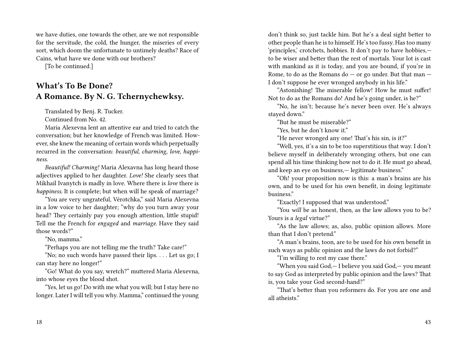we have duties, one towards the other, are we not responsible for the servitude, the cold, the hunger, the miseries of every sort, which doom the unfortunate to untimely deaths? Race of Cains, what have we done with our brothers?

[To be continued.]

# **What's To Be Done? A Romance. By N. G. Tchernychewksy.**

Translated by Benj. R. Tucker.

Continued from No. 42.

Maria Alexevna lent an attentive ear and tried to catch the conversation; but her knowledge of French was limited. However, she knew the meaning of certain words which perpetually recurred in the conversation: *beautiful, charming, love, happiness.*

*Beautiful! Charming!* Maria Alexavna has long heard those adjectives applied to her daughter. *Love!* She clearly sees that Mikhail Ivanytch is madly in love. Where there is *love* there is *happiness*. It is complete; but when will he speak of marriage?

"You are very ungrateful, Vérotchka," said Maria Alexevna in a low voice to her daughter; "why do you turn away your head? They certainly pay you enough attention, little stupid! Tell me the French for *engaged* and *marriage*. Have they said those words?"

"No, mamma."

"Perhaps you are not telling me the truth? Take care!"

"No; no such words have passed their lips. . . . Let us go; I can stay here no longer!"

"Go! What do you say, wretch?" muttered Maria Alexevna, into whose eyes the blood shot.

"Yes, let us go! Do with me what you will; but I stay here no longer. Later I will tell you why. Mamma," continued the young

18

don't think so, just tackle him. But he's a deal sight better to other people than he is to himself. He's too fussy. Has too many 'principles,' crotchets, hobbies. It don't pay to have hobbies,to be wiser and better than the rest of mortals. Your lot is cast with mankind as it is today, and you are bound, if you're in Rome, to do as the Romans do  $-$  or go under. But that man  $-$ I don't suppose he ever wronged anybody in his life."

"Astonishing! The miserable fellow! How he must suffer! Not to do as the Romans do! And he's going under, is he?"

"No, he isn't; because he's never been over. He's always stayed down."

"But he must be miserable?"

"Yes, but he don't know it."

"He never wronged any one! That's his sin, is it?"

"Well, yes, it's a sin to be too superstitious that way. I don't believe myself in deliberately wronging others, but one can spend all his time thinking how not to do it. He must go ahead, and keep an eye on business,— legitimate business."

"Oh! your proposition now is this: a man's brains are his own, and to be used for his own benefit, in doing legitimate business."

"Exactly! I supposed that was understood."

"You *will* be as honest, then, as the law allows you to be? Yours is a *legal* virtue?"

"As the law allows; as, also, public opinion allows. More than that I don't pretend."

"A man's brains, toon, are to be used for his own benefit in such ways as public opinion and the laws do not forbid?"

"I'm willing to rest my case there."

"When you said God,— I believe you said God,— you meant to say God as interpreted by public opinion and the laws? That is, you take your God second-hand?"

"That's better than you reformers do. For you are one and all atheists."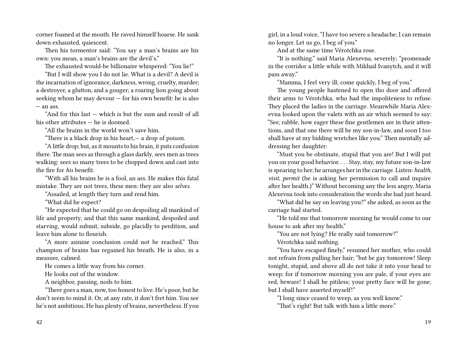corner foamed at the mouth. He raved himself hoarse. He sank down exhausted, quiescent.

Then his tormentor said: "You say a man's brains are his own: you mean, a man's brains are the devil's."

The exhausted would-be billionaire whispered: "You lie!"

"But I will show you I do not lie. What is a devil? A devil is the incarnation of ignorance, darkness, wrong, cruelty, murder; a destroyer, a glutton, and a gouger; a roaring lion going about seeking whom he may devour — for his own benefit: he is also — an ass.

"And for this last — which is but the sum and result of all his other attributes — he is doomed.

"All the brains in the world won't save him.

"There is a black drop in his heart,— a drop of poison.

"A little drop; but, as it mounts to his brain, it puts confusion there. The man sees as through a glass darkly, sees men as trees walking: sees so many trees to be chopped down and cast into the fire for *his* benefit.

"With all his brains he is a fool, an ass. He makes this fatal mistake. They are not trees, these men: they are also *selves*.

"Assailed, at length they turn and rend him.

"What did he expect?

"He expected that he could go on despoiling all mankind of life and property, and that this same mankind, despoiled and starving, would submit, subside, go placidly to perdition, and leave him alone to flourish.

"A more asinine conclusion could not be reached." This champion of brains has regained his breath. He is also, in a measure, calmed.

He comes a little way from his corner.

He looks out of the window.

A neighbor, passing, nods to him.

"There goes a man, now, too honest to live. He's poor, but he don't seem to mind it. Or, at any rate, it don't fret him. You see he's not ambitious. He has plenty of brains, nevertheless. If you girl, in a loud voice, "I have too severe a headache; I can remain no longer. Let us go, I beg of you."

And at the same time Vérotchka rose.

"It is nothing." said Maria Alexevna, severely; "promenade in the corridor a little while with Mikhail Ivanytch, and it will pass away."

"Mamma, I feel very ill; come quickly, I beg of you."

The young people hastened to open tho door and offered their arms to Vérotchka, who had the impoliteness to refuse. They placed the ladies in the carriage. Meanwhile Maria Alexevna looked upon the valets with an air which seemed to say: "See, rabble, how eager these fine gentlemen are in their attentions, and that one there will be my son-in-law, and soon I too shall have at my bidding wretches like you." Then mentally addressing her daughter:

"Must you be obstinate, stupid that you are! But I will put you on your good behavior. . . . Stay, stay, my future son-in-law is spearing to her; he arranges her in the carriage. Listen: *health, visit, permit* (he is asking her permission to call and inquire after her health.)" Without becoming any the less angry, Maria Alexevna took into consideration the words she had just heard.

"What did he say on leaving you?" she asked, as soon as the carriage had started.

"He told me that tomorrow morning he would come to our house to ask after my health."

"You are not lying? He really said tomorrow?"

Vérotchka said nothing.

"You have escaped finely," resumed her mother, who could not refrain from pulling her hair; "but be gay tomorrow! Sleep tonight, stupid, and above all do not take it into your head to weep; for if tomorrow morning you are pale, if your eyes are red, beware! I shall be pitiless; your pretty face will be gone; but I shall have asserted myself!"

"I long since ceased to weep, as you well know." "That's right! But talk with him a little more."

19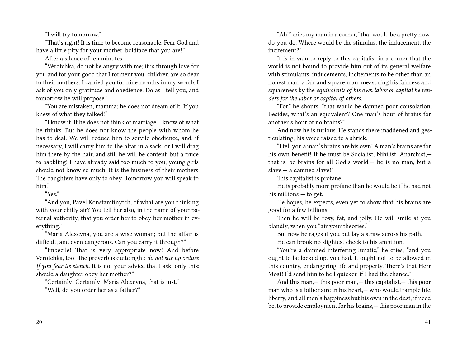"I will try tomorrow."

"That's right! It is time to become reasonable. Fear God and have a little pity for your mother, boldface that you are!"

After a silence of ten minutes:

"Vérotchka, do not be angry with me; it is through love for you and for your good that I torment you. children are so dear to their mothers. I carried you for nine months in my womb. I ask of you only gratitude and obedience. Do as I tell you, and tomorrow he will propose."

"You are mistaken, mamma; he does not dream of it. If you knew of what they talked!"

"I know it. If he does not think of marriage, I know of what he thinks. But he does not know the people with whom he has to deal. We will reduce him to servile obedience, and, if necessary, I will carry him to the altar in a sack, or I will drag him there by the hair, and still he will be content. but a truce to babbling! I have already said too much to you; young girls should not know so much. It is the business of their mothers. The daughters have only to obey. Tomorrow you will speak to him."

"Yes."

"And you, Pavel Konstamtinytch, of what are you thinking with your chilly air? You tell her also, in the name of your paternal authority, that you order her to obey her mother in everything."

"Maria Alexevna, you are a wise woman; but the affair is difficult, and even dangerous. Can you carry it through?"

"Imbecile! That is very appropriate now! And before Vérotchka, too! The proverb is quite right: *do not stir up ordure if you fear its stench.* It is not your advice that I ask; only this: should a daughter obey her mother?"

"Certainly! Certainly! Maria Alexevna, that is just." "Well, do you order her as a father?"

"Ah!" cries my man in a corner, "that would be a pretty howdo-you-do. Where would be the stimulus, the inducement, the incitement?"

It is in vain to reply to this capitalist in a corner that the world is not bound to provide him out of its general welfare with stimulants, inducements, incitements to be other than an honest man, a fair and square man; measuring his fairness and squareness by the *equivalents of his own labor or capital he renders for the labor or capital of others.*

"For," he shouts, "that would be damned poor consolation. Besides, what's an equivalent? One man's hour of brains for another's hour of no brains?"

And now he is furious. He stands there maddened and gesticulating, his voice raised to a shriek.

"I tell you a man's brains are his own! A man's brains are for his own benefit! If he must be Socialist, Nihilist, Anarchist, that is, be brains for all God's world,— he is no man, but a slave,— a damned slave!"

This capitalist is profane.

He is probably more profane than he would be if he had not his millions — to get.

He hopes, he expects, even yet to show that his brains are good for a few billions.

Then he will be rosy, fat, and jolly. He will smile at you blandly, when you "air your theories."

But now he rages if you but lay a straw across his path. He can brook no slightest cheek to his ambition.

"You're a damned interfering lunatic," he cries, "and you ought to be locked up, you had. It ought not to be allowed in this country, endangering life and property. There's that Herr Most! I'd send him to hell quicker, if I had the chance."

And this man,— this poor man,— this capitalist,— this poor man who is a billionaire in his heart,— who would trample life, liberty, and all men's happiness but his own in the dust, if need be, to provide employment for his brains,— this poor man in the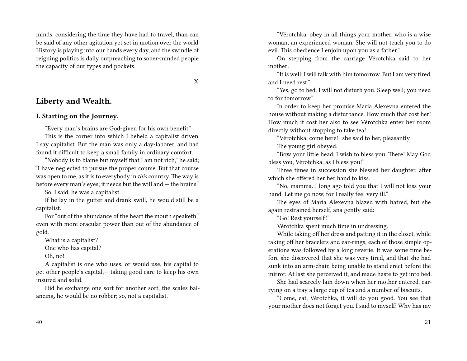minds, considering the time they have had to travel, than can be said of any other agitation yet set in motion over the world. History is playing into our hands every day, and the swindle of reigning politics is daily outpreaching to sober-minded people the capacity of our types and pockets.

X.

## **Liberty and Wealth.**

#### **I. Starting on the Journey.**

"Every man's brains are God-given for his own benefit."

This is the corner into which I beheld a capitalist driven. I say capitalist. But the man was only a day-laborer, and had found it difficult to keep a small family in ordinary comfort.

"Nobody is to blame but myself that I am not rich," he said; "I have neglected to pursue the proper course. But that course was open to me, as it is to everybody in *this* country. The way is before every man's eyes; it needs but the will and — the brains."

So, I said, he was a capitalist.

If he lay in the gutter and drank swill, he would still be a capitalist.

For "out of the abundance of the heart the mouth speaketh," even with more oracular power than out of the abundance of gold.

What is a capitalist?

One who has capital?

Oh, no!

A capitalist is one who uses, or would use, his capital to get other people's capital,— taking good care to keep his own insured and solid.

Did he exchange one sort for another sort, the scales balancing, he would be no robber; so, not a capitalist.

40

"Vérotchka, obey in all things your mother, who is a wise woman, an experienced woman. She will not teach you to do evil. This obedience I enjoin upon you as a father."

On stepping from the carriage Vérotchka said to her mother:

"It is well; I will talk with him tomorrow. But I am very tired, and I need rest."

"Yes, go to bed. I will not disturb you. Sleep well; you need to for tomorrow."

In order to keep her promise Maria Alexevna entered the house without making a disturbance. How much that cost her! How much it cost her also to see Vérotchka enter her room directly without stopping to take tea!

"Vérotchka, come here!" she said to her, pleasantly.

The young girl obeyed.

"Bow your little head; I wish to bless you. There! May God bless you, Vérotchka, as I bless you!"

Three times in succession she blessed her daughter, after which she offered her her hand to kiss.

"No, mamma. I long ago told you that I will not kiss your hand. Let me go now, for I really feel very ill."

The eyes of Maria Alexevna blazed with hatred, but she again restrained herself, ana gently said:

"Go! Rest yourself!"

Vérotchka spent much time in undressing.

While taking off her dress and patting it in the closet, while taking off her bracelets and ear-rings, each of those simple operations was followed by a long reverie. It was some time before she discovered that she was very tired, and that she had sunk into an arm-chair, being unable to stand erect before the mirror. At last she perceived it, and made haste to get into bed.

She had scarcely lain down when her mother entered, carrying on a tray a large cup of tea and a number of biscuits.

"Come, eat, Vérotchka, it will do you good. You see that your mother does not forget you. I said to myself: Why has my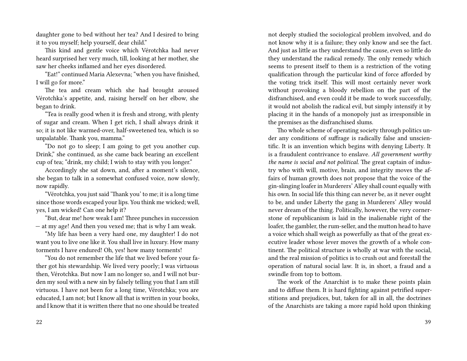daughter gone to bed without her tea? And I desired to bring it to you myself; help yourself, dear child."

This kind and gentle voice which Vérotchka had never heard surprised her very much, till, looking at her mother, she saw her cheeks inflamed and her eyes disordered.

"Eat!" continued Maria Alexevna; "when you have finished, I will go for more."

The tea and cream which she had brought aroused Vérotchka's appetite, and, raising herself on her elbow, she began to drink.

"Tea is really good when it is fresh and strong, with plenty of sugar and cream. When I get rich, I shall always drink it so; it is not like warmed-over, half-sweetened tea, which is so unpalatable. Thank you, mamma."

"Do not go to sleep; I am going to get you another cup. Drink," she continued, as she came back bearing an excellent cup of tea; "drink, my child; I wish to stay with you longer."

Accordingly she sat down, and, after a moment's silence, she began to talk in a somewhat confused voice, now slowly, now rapidly.

"Vérotchka, you just said 'Thank you' to me; it is a long time since those words escaped your lips. You think me wicked; well, yes, I am wicked! Can one help it?

"But, dear me! how weak I am! Three punches in succession — at my age! And then you vexed me; that is why I am weak.

"My life has been a very hard one, my daughter! I do not want you to live one like it. You shall live in luxury. How many torments I have endured! Oh, yes! how many torments!

"You do not remember the life that we lived before your father got his stewardship. We lived very poorly; I was virtuous then, Vérotchka. But now I am no longer so, and I will not burden my soul with a new sin by falsely telling you that I am still virtuous. I have not been for a long time, Vérotchka; you are educated, I am not; but I know all that is written in your books, and I know that it is written there that no one should be treated

not deeply studied the sociological problem involved, and do not know why it is a failure; they only know and see the fact. And just as little as they understand the cause, even so little do they understand the radical remedy. The only remedy which seems to present itself to them is a restriction of the voting qualification through the particular kind of force afforded by the voting trick itself. This will most certainly never work without provoking a bloody rebellion on the part of the disfranchised, and even could it be made to work successfully, it would not abolish the radical evil, but simply intensify it by placing it in the hands of a monopoly just as irresponsible in the premises as the disfranchised slums.

Tho whole scheme of operating society through politics under any conditions of suffrage is radically false and unscientific. It is an invention which begins with denying Liberty. It is a fraudulent contrivance to enslave. *All government worthy the name is social and not political.* The great captain of industry who with will, motive, brain, and integrity moves the affairs of human growth does not propose that the voice of the gin-slinging loafer in Murderers' Alley shall count equally with his own. In social life this thing can never be, as it never ought to be, and under Liberty the gang in Murderers' Alley would never dream of the thing. Politically, however, the very cornerstone of republicanism is laid in the inalienable right of the loafer, the gambler, the rum-seller, and the mutton head to have a voice which shall weigh as powerfully as that of the great executive leader whose lever moves the growth of a whole continent. The political structure is wholly at war with the social, and the real mission of politics is to crush out and forestall the operation of natural social law. It is, in short, a fraud and a swindle from top to bottom.

The work of the Anarchist is to make these points plain and to diffuse them. It is hard fighting against petrified superstitions and prejudices, but, taken for all in all, the doctrines of the Anarchists are taking a more rapid hold upon thinking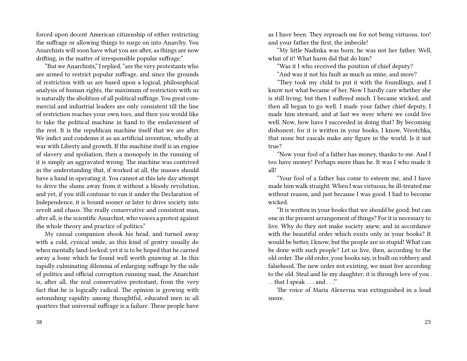forced upon decent American citizenship of either restricting the suffrage or allowing things to surge on into Anarchy. You Anarchists will soon have what you are after, as things are now drifting, in the matter of irresponsible popular suffrage."

"But we Anarchists," I replied, "are the very protestants who are armed to restrict popular suffrage, and since the grounds of restriction with us are based upon a logical, philosophical analysis of human rights, the maximum of restriction with us is naturally the abolition of all political suffrage. You great commercial and industrial leaders are only consistent till the line of restriction reaches your own toes, and then you would like to take the political machine in hand to the enslavement of the rest. It is the republican machine itself that we are after. We indict and condemn it as an artificial invention, wholly at war with Liberty and growth. If the machine itself is an engine of slavery and spoliation, then a monopoly in the running of it is simply an aggravated wrong. The machine was contrived in the understanding that, if worked at all, the masses should have a hand in operating it. You cannot at this late day attempt to drive the slums away from it without a bloody revolution, and yet, if you still continue to run it under the Declaration of Independence, it is bound sooner or later to drive society into revolt and chaos. The really conservative and consistent man, after all, is the scientific Anarchist, who voices a protest against the whole theory and practice of politics."

My casual companion shook his head, and turned away with a cold, cynical smile, as this kind of gentry usually do when mentally land-locked; yet it is to be hoped that he carried away a bone which he found well worth gnawing at. In this rapidly culminating dilemma of enlarging suffrage by the side of politics and official corruption running mad, the Anarchist is, after all, the real conservative protestant, from the very fact that he is logically radical. The opinion is growing with astonishing rapidity among thoughtful, educated men in all quarters that universal suffrage is a failure. These people have as I have been. They reproach me for not being virtuous, too! and your father the first, the imbecile!

"My little Nadinka was born; he was not her father. Well, what of it! What harm did that do him?

"Was it I who received the position of chief deputy?

"And was it not his fault as much as mine, and more?

"They took my child to put it with the foundlings, and I know not what became of her. Now I hardly care whether she is still living; but then I suffered much. I became wicked, and then all began to go well. I made your father chief deputy, I made him steward, and at last we were where we could live well. Now, how have I succeeded in doing that? By becoming dishonest; for it is written in your books, I know, Vérotchka, that none but rascals make any figure in the world. Is it not true?

"Now your fool of a father has money, thanks to me. And I too have money! Perhaps more than he. It was I who made it all!

"Your fool of a father has come to esteem me, and I have made him walk straight. When I was virtuous, he ill-treated me without reason, and just because I was good. I had to become wicked.

"It is written in your books that we should be good; but can one in the present arrangement of things? For it is necessary to live. Why do they not make society anew, and in accordance with the beautiful order which exists only in your books? It would be better, I know, but the people are so stupid! What can be done with such people? Let us live, then, according to the old order. The old order, your books say, is built on robbery and falsehood. The new order not existing, we must live according to the old. Steal and lie my daughter; it is through love of you . . . that I speak . . . and . . ."'

The voice of Maria Alexevna was extinguished in a loud snore.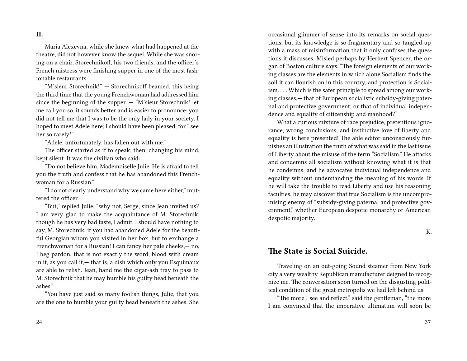Maria Alexevna, while she knew what had happened at the theatre, did not however know the sequel. While she was snoring on a chair, Storechnikoff, his two friends, and the officer's French mistress were finishing supper in one of the most fashionable restaurants.

"M'sieur Storechnik!" — Storechnikoff beamed, this being the third time that the young Frenchwoman had addressed him since the beginning of the supper. — "M'sieur Storechnik! let me call you so, it sounds better and is easier to pronounce; you did not tell me that I was to be the only lady in your society. I hoped to meet Adele here; I should have been pleased, for I see her so rarely!"

"Adele, unfortunately, has fallen out with me."

The officer started as if to speak; then, changing his mind, kept silent. It was the civilian who said:

"Do not believe him, Mademoiselle Julie. He is afraid to tell you the truth and confess that he has abandoned this Frenchwoman for a Russian."

"I do not clearly understand why we came here either," muttered the officer.

"But," replied Julie, "why not, Serge, since Jean invited us? I am very glad to make the acquaintance of M. Storechnik, though he has very bad taste, I admit. I should have nothing to say, M. Storechnik, if you had abandoned Adele for the beautiful Georgian whom you visited in her box, but to exchange a Frenchwoman for a Russian! I can fancy her pale cheeks,— no, I beg pardon, that is not exactly the word; blood with cream in it, as you call it,— that is, a dish which only you Esquimaux are able to relish. Jean, hand me the cigar-ash tray to pass to M. Storechnik that he may humble his guilty head beneath the ashes."

"You have just said so many foolish things, Julie, that you are the one to humble your guilty head beneath the ashes. She occasional glimmer of sense into its remarks on social questions, but its knowledge is so fragmentary and so tangled up with a mass of misinformation that it only confuses the questions it discusses. Misled perhaps by Herbert Spencer, the organ of Boston culture says: "The foreign elements of our working classes are the elements in which alone Socialism finds the soil it can flourish on in this country, and protection is Socialism. . . . Which is the safer principle to spread among our working classes,— that of European socialistic subsidy-giving paternal and protective government, or that of individual independence and equality of citizenship and manhood?"

What a curious mixture of race prejudice, pretentious ignorance, wrong conclusions, and instinctive love of liberty and equality is here presented! The able editor unconsciously furnishes an illustration the truth of what was said in the last issue of Liberty about the misuse of the term "Socialism." He attacks and condemns all socialism without knowing what it is that he condemns, and he advocates individual independence and equality without understanding the meaning of his words. If he will take the trouble to read Liberty and use his reasoning faculties, he may discover that true Socialism is the uncompromising enemy of "subsidy-giving paternal and protective government," whether European despotic monarchy or American despotic majority.

K.

### **The State is Social Suicide.**

Traveling on an out-going Sound steamer from New York city a very wealthy Republican manufacturer deigned to recognize me. The conversation soon turned on the disgusting political condition of the great metropolis we had left behind us.

"The more I see and reflect," said the gentleman, "the more I am convinced that the imperative ultimatum will soon be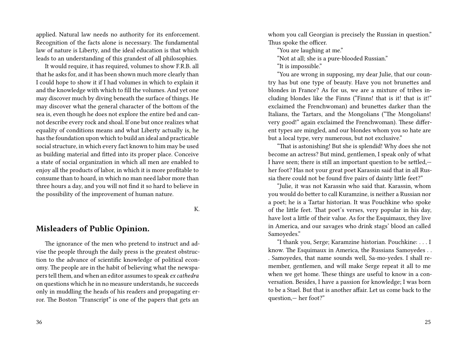applied. Natural law needs no authority for its enforcement. Recognition of the facts alone is necessary. The fundamental law of nature is Liberty, and the ideal education is that which leads to an understanding of this grandest of all philosophies.

It would require, it has required, volumes to show F.R.B. all that he asks for, and it has been shown much more clearly than I could hope to show it if I had volumes in which to explain it and the knowledge with which to fill the volumes. And yet one may discover much by diving beneath the surface of things. He may discover what the general character of the bottom of the sea is, even though he does not explore the entire bed and cannot describe every rock and shoal. If one but once realizes what equality of conditions means and what Liberty actually is, he has the foundation upon which to build an ideal and practicable social structure, in which every fact known to him may be used as building material and fitted into its proper place. Conceive a state of social organization in which all men are enabled to enjoy all the products of labor, in which it is more profitable to consume than to hoard, in which no man need labor more than three hours a day, and you will not find it so hard to believe in the possibility of the improvement of human nature.

K.

### **Misleaders of Public Opinion.**

The ignorance of the men who pretend to instruct and advise the people through the daily press is the greatest obstruction to the advance of scientific knowledge of political economy. The people are in the habit of believing what the newspapers tell them, and when an editor assumes to speak *ex cathedra* on questions which he in no measure understands, he succeeds only in muddling the heads of his readers and propagating error. The Boston "Transcript" is one of the papers that gets an

whom you call Georgian is precisely the Russian in question." Thus spoke the officer.

"You are laughing at me."

"Not at all; she is a pure-blooded Russian."

"It is impossible."

"You are wrong in supposing, my dear Julie, that our country has but one type of beauty. Have you not brunettes and blondes in France? As for us, we are a mixture of tribes including blondes like the Finns ("Finns! that is it! that is it!" exclaimed the Frenchwoman) and brunettes darker than the Italians, the Tartars, and the Mongolians ("The Mongolians! very good!" again exclaimed the Frenchwoman). These different types are mingled, and our blondes whom you so hate are but a local type, very numerous, but not exclusive."

"That is astonishing! But she is splendid! Why does she not become an actress? But mind, gentlemen, I speak only of what I have seen; there is still an important question to be settled, her foot? Has not your great poet Karassin said that in all Russia there could not be found five pairs of dainty little feet?"

"Julie, it was not Karassin who said that. Karassin, whom you would do better to call Kuramzine, is neither a Russian nor a poet; he is a Tartar historian. It was Pouchkine who spoke of the little feet. That poet's verses, very popular in his day, have lost a little of their value. As for the Esquimaux, they live in America, and our savages who drink stags' blood an called Samoyedes."

"I thank you, Serge; Karamzine historian. Pouchkine: . . . I know. The Esquimaux in America, the Russians Samoyedes . . . Samoyedes, that name sounds well, Sa-mo-yedes. I shall remember, gentlemen, and will make Serge repeat it all to me when we get home. These things are useful to know in a conversation. Besides, I have a passion for knowledge; I was born to be a Stael. But that is another affair. Let us come back to the question,— her foot?"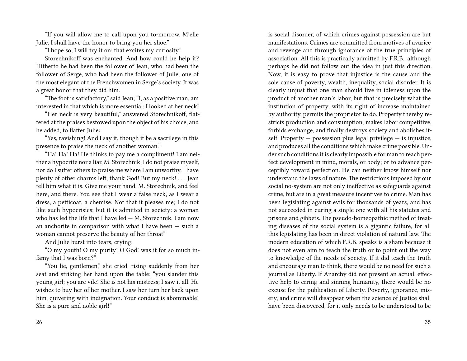"If you will allow me to call upon you to-morrow, M'elle Julie, I shall have the honor to bring you her shoe."

"I hope so; I will try it on; that excites my curiosity."

Storechnikoff was enchanted. And how could he help it? Hitherto he had been the follower of Jean, who had been the follower of Serge, who had been the follower of Julie, one of the most elegant of the Frenchwomen in Serge's society. It was a great honor that they did him.

"The foot is satisfactory," said Jean; "I, as a positive man, am interested in that which is more essential; I looked at her neck"

"Her neck is very beautiful," answered Storechnikoff, flattered at the praises bestowed upon the object of his choice, and he added, to flatter Julie:

"Yes, ravishing! And I say it, though it be a sacrilege in this presence to praise the neck of another woman."

"Ha! Ha! Ha! He thinks to pay me a compliment! I am neither a hypocrite nor a liar, M. Storechnik; I do not praise myself, nor do I suffer others to praise me where I am unworthy. I have plenty of other charms left, thank God! But my neck! . . . Jean tell him what it is. Give me your hand, M. Storechnik, and feel here, and there. You see that I wear a false neck, as I wear a dress, a petticoat, a chemise. Not that it pleases me; I do not like such hypocrisies; but it is admitted in society: a woman who has led the life that I have  $\text{led} - \text{M}$ . Storechnik, I am now an anchorite in comparison with what I have been — such a woman cannot preserve the beauty of her throat"

And Julie burst into tears, crying:

"O my youth! O my purity! O God! was it for so much infamy that I was born?"

"You lie, gentlemen," she cried, rising suddenly from her seat and striking her hand upon the table; "you slander this young girl; you are vile! She is not his mistress; I saw it all. He wishes to buy her of her mother. I saw her turn her back upon him, quivering with indignation. Your conduct is abominable! She is a pure and noble girl!"

is social disorder, of which crimes against possession are but manifestations. Crimes are committed from motives of avarice and revenge and through ignorance of the true principles of association. All this is practically admitted by F.R.B., although perhaps he did not follow out the idea in just this direction. Now, it is easy to prove that injustice is the cause and the sole cause of poverty, wealth, inequality, social disorder. It is clearly unjust that one man should live in idleness upon the product of another man's labor, but that is precisely what the institution of property, with its right of increase maintained by authority, permits the proprietor to do. Property thereby restricts production and consumption, makes labor competitive, forbids exchange, and finally destroys society and abolishes itself. Property  $-$  possession plus legal privilege  $-$  is injustice, and produces all the conditions which make crime possible. Under such conditions it is clearly impossible for man to reach perfect development in mind, morals, or body; or to advance perceptibly toward perfection. He can neither know himself nor understand the laws of nature. The restrictions imposed by our social no-system are not only ineffective as safeguards against crime, but are in a great measure incentives to crime. Man has been legislating against evils for thousands of years, and has not succeeded in curing a single one with all his statutes and prisons and gibbets. The pseudo-homeopathic method of treating diseases of the social system is a gigantic failure, for all this legislating has been in direct violation of natural law. The modern education of which F.R.B. speaks is a sham because it does not even aim to teach the truth or to point out the way to knowledge of the needs of society. If it did teach the truth and encourage man to think, there would be no need for such a journal as Liberty. If Anarchy did not present an actual, effective help to erring and sinning humanity, there would be no excuse for the publication of Liberty. Poverty, ignorance, misery, and crime will disappear when the science of Justice shall have been discovered, for it only needs to be understood to be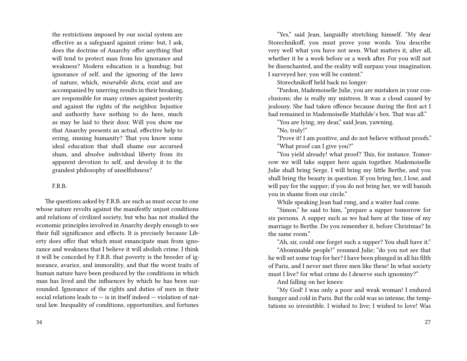the restrictions imposed by our social system are effective as a safeguard against crime: but, I ask, does the doctrine of Anarchy offer anything that will tend to protect man from his ignorance and weakness? Modern education is a humbug; but ignorance of self, and the ignoring of the laws of nature, which, *miserabile dictu*, exist and are accompanied by unerring results in their breaking, are responsible for many crimes against posterity and against the rights of the neighbor. Injustice and authority have nothing to do here, much as may be laid to their door. Will you show me that Anarchy presents an actual, effective help to erring, sinning humanity? That you know some ideal education that shall shame our accursed sham, and absolve individual liberty from its apparent devotion to self, and develop it to the grandest philosophy of unselfishness?

#### F.R.B.

The questions asked by F.R.B. are such as must occur to one whose nature revolts against the manifestly unjust conditions and relations of civilized society, but who has not studied the economic principles involved in Anarchy deeply enough to see their full significance and effects. It is precisely because Liberty does offer that which must emancipate man from ignorance and weakness that I believe it will abolish crime. I think it will be conceded by F.R.B. that poverty is the breeder of ignorance, avarice, and immorality, and that the worst traits of human nature have been produced by the conditions in which man has lived and the influences by which he has been surrounded. Ignorance of the rights and duties of men in their social relations leads to  $-$  is in itself indeed  $-$  violation of natural law. Inequality of conditions, opportunities, and fortunes

"Yes," said Jean, languidly stretching himself. "My dear Storechnikoff, you must prove your words. You describe very well what you have not seen. What matters it, alter all, whether it be a week before or a week after. For you will not be disenchanted, and the reality will surpass your imagination. I surveyed her; you will be content."

Storechnikoff held back no longer:

"Pardon, Mademoiselle Julie, you are mistaken in your conclusions; she is really my mistress. It was a cloud caused by jealousy. She had taken offence because during the first act I had remained in Mademoiselle Mathilde's box. That was all."

"You are lying, my dear," said Jean, yawning.

"No, truly!"

"Prove it! I am positive, and do not believe without proofs." "What proof can I give you?"

"You yield already! what proof? This, for instance. Tomorrow we will take supper here again together. Mademoiselle Julie shall bring Serge, I will bring my little Berthe, and you shall bring the beauty in question. If you bring her, I lose, and will pay for the supper; if you do not bring her, we will banish you in shame from our circle."

While speaking Jean had rung, and a waiter had come.

"Simon," he said to him, "prepare a supper tomorrow for six persons. A supper such as we had here at the time of my marriage to Berthe. Do you remember it, before Christmas? In the same room."

"Ah, sir, could one forget such a supper? You shall have it."

"Abominable people!" resumed Julie; "do you not see that he will set some trap for her? I have been plunged in all his filth of Paris, and I never met three men like these! In what society must I live? for what crime do I deserve such ignominy?"

And falling on her knees:

"My God! I was only a poor and weak woman! I endured hunger and cold in Paris. But the cold was so intense, the temptations so irresistible. I wished to live; I wished to love! Was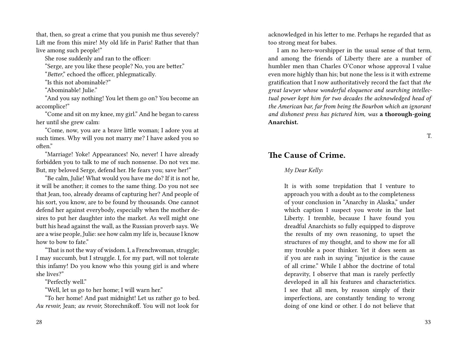that, then, so great a crime that you punish me thus severely? Lift me from this mire! My old life in Paris! Rather that than live among such people!"

She rose suddenly and ran to the officer:

"Serge, are you like these people? No, you are better."

"*Better*," echoed the officer, phlegmatically.

"Is this not abominable?"

"Abominable! Julie."

"And you say nothing! You let them go on? You become an accomplice!"

"Come and sit on my knee, my girl." And he began to caress her until she grew calm:

"Come, now, you are a brave little woman; I adore you at such times. Why will you not marry me? I have asked you so often."

"Marriage! Yoke! Appearances! No, never! I have already forbidden you to talk to me of such nonsense. Do not vex me. But, my beloved Serge, defend her. He fears you; save her!"

"Be calm, Julie! What would you have me do? If it is not he, it will be another; it comes to the same thing. Do you not see that Jean, too, already dreams of capturing her? And people of his sort, you know, are to be found by thousands. One cannot defend her against everybody, especially when the mother desires to put her daughter into the market. As well might one butt his head against the wall, as the Russian proverb says. We are a wise people, Julie: see how calm my life is, because I know how to bow to fate."

"That is not the way of wisdom. I, a Frenchwoman, struggle; I may succumb, but I struggle. I, for my part, will not tolerate this infamy! Do you know who this young girl is and where she lives?"

"Perfectly well."

"Well, let us go to her home; I will warn her."

"To her home! And past midnight! Let us rather go to bed. *Au revoir,* Jean; *au revoir,* Storechnikoff. You will not look for

acknowledged in his letter to me. Perhaps he regarded that as too strong meat for babes.

I am no hero-worshipper in the usual sense of that term, and among the friends of Liberty there are a number of humbler men than Charles O'Conor whose approval I value even more highly than his; but none the less is it with extreme gratification that I now authoritatively record the fact that *the great lawyer whose wonderful eloquence and searching intellectual power kept him for two decades the acknowledged head of the American bar, far from being the Bourbon which an ignorant and dishonest press has pictured him, was* **a thorough-going Anarchist.**

T.

# **The Cause of Crime.**

#### *My Dear Kelly:*

It is with some trepidation that I venture to approach you with a doubt as to the completeness of your conclusion in "Anarchy in Alaska," under which caption I suspect you wrote in the last Liberty. I tremble, because I have found you dreadful Anarchists so fully equipped to disprove the results of my own reasoning, to upset the structures of my thought, and to show me for all my trouble a poor thinker. Yet it does seem as if you are rash in saying "injustice is the cause of all crime." While I abhor the doctrine of total depravity, I observe that man is rarely perfectly developed in all his features and characteristics. I see that all men, by reason simply of their imperfections, are constantly tending to wrong doing of one kind or other. I do not believe that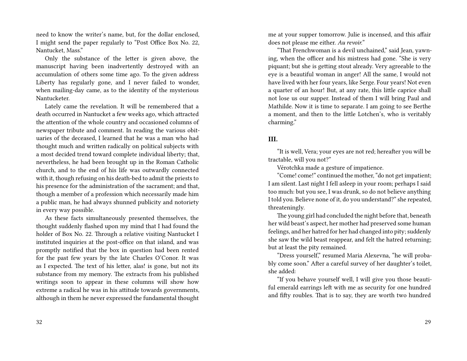need to know the writer's name, but, for the dollar enclosed, I might send the paper regularly to "Post Office Box No. 22, Nantucket, Mass."

Only the substance of the letter is given above, the manuscript having been inadvertently destroyed with an accumulation of others some time ago. To the given address Liberty has regularly gone, and I never failed to wonder, when mailing-day came, as to the identity of the mysterious Nantucketer.

Lately came the revelation. It will be remembered that a death occurred in Nantucket a few weeks ago, which attracted the attention of the whole country and occasioned columns of newspaper tribute and comment. In reading the various obituaries of the deceased, I learned that he was a man who had thought much and written radically on political subjects with a most decided trend toward complete individual liberty; that, nevertheless, he had been brought up in the Roman Catholic church, and to the end of his life was outwardly connected with it, though refusing on his death-bed to admit the priests to his presence for the administration of the sacrament; and that, though a member of a profession which necessarily made him a public man, he had always shunned publicity and notoriety in every way possible.

As these facts simultaneously presented themselves, the thought suddenly flashed upon my mind that I had found the holder of Box No. 22. Through a relative visiting Nantucket I instituted inquiries at the post-office on that island, and was promptly notified that the box in question had been rented for the past few years by the late Charles O'Conor. It was as I expected. The text of his letter, alas! is gone, but not its substance from my memory. The extracts from his published writings soon to appear in these columns will show how extreme a radical he was in his attitude towards governments, although in them he never expressed the fundamental thought

32

me at your supper tomorrow. Julie is incensed, and this affair does not please me either. *Au revoir.*"

"That Frenchwoman is a devil unchained," said Jean, yawning, when the officer and his mistress had gone. "She is very piquant; but she is getting stout already. Very agreeable to the eye is a beautiful woman in anger! All the same, I would not have lived with her four years, like Serge. Four years! Not even a quarter of an hour! But, at any rate, this little caprice shall not lose us our supper. Instead of them I will bring Paul and Mathilde. Now it is time to separate. I am going to see Berthe a moment, and then to the little Lotchen's, who is veritably charming."

#### **III.**

"It is well, Vera; your eyes are not red; hereafter you will be tractable, will you not?"

Vérotchka made a gesture of impatience.

"Come! come!" continued the mother, "do not get impatient; I am silent. Last night I fell asleep in your room; perhaps I said too much: but you see, I was drunk, so do not believe anything I told you. Believe none of it, do you understand?" she repeated, threateningly.

The young girl had concluded the night before that, beneath her wild beast's aspect, her mother had preserved some human feelings, and her hatred for her had changed into pity; suddenly she saw the wild beast reappear, and felt the hatred returning; but at least the pity remained.

"Dress yourself," resumed Maria Alexevna, "he will probably come soon." After a careful survey of her daughter's toilet, she added:

"If you behave yourself well, I will give you those beautiful emerald earrings left with me as security for one hundred and fifty roubles. That is to say, they are worth two hundred